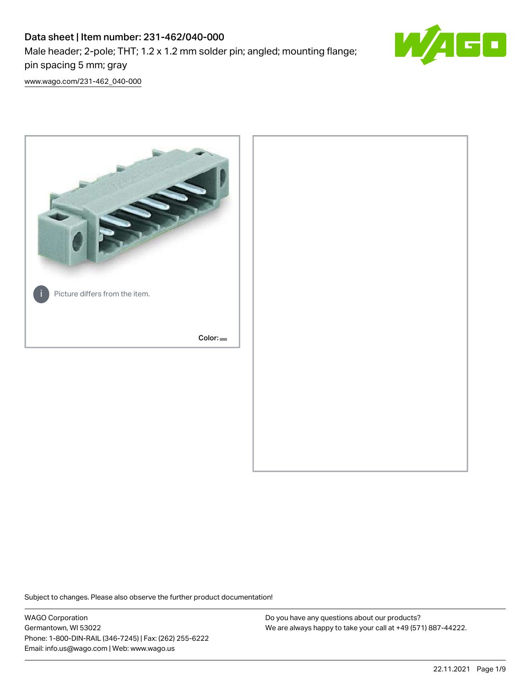# Data sheet | Item number: 231-462/040-000 Male header; 2-pole; THT; 1.2 x 1.2 mm solder pin; angled; mounting flange; pin spacing 5 mm; gray



[www.wago.com/231-462\\_040-000](http://www.wago.com/231-462_040-000)



Subject to changes. Please also observe the further product documentation!

WAGO Corporation Germantown, WI 53022 Phone: 1-800-DIN-RAIL (346-7245) | Fax: (262) 255-6222 Email: info.us@wago.com | Web: www.wago.us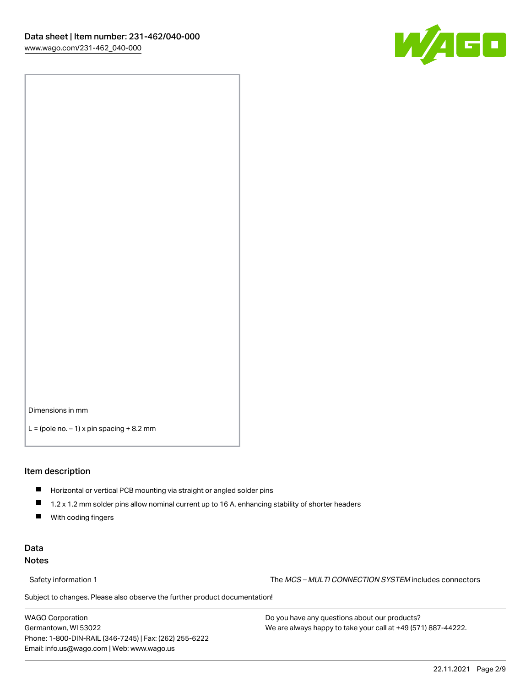

Dimensions in mm

 $L =$  (pole no.  $-1$ ) x pin spacing  $+8.2$  mm

#### Item description

- **Horizontal or vertical PCB mounting via straight or angled solder pins**
- 1.2 x 1.2 mm solder pins allow nominal current up to 16 A, enhancing stability of shorter headers
- $\blacksquare$ With coding fingers

#### Data Notes

Safety information 1 The MCS – MULTI CONNECTION SYSTEM includes connectors

Subject to changes. Please also observe the further product documentation!  $\nu$ 

WAGO Corporation Germantown, WI 53022 Phone: 1-800-DIN-RAIL (346-7245) | Fax: (262) 255-6222 Email: info.us@wago.com | Web: www.wago.us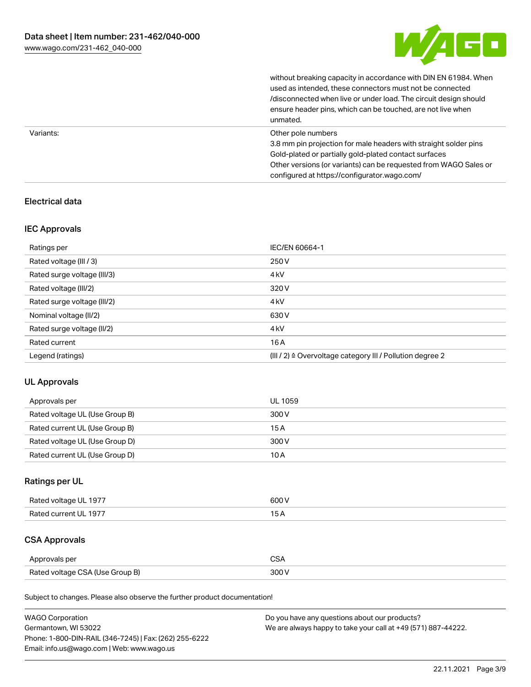

without breaking capacity in accordance with DIN EN 61984. When

|           | used as intended, these connectors must not be connected<br>/disconnected when live or under load. The circuit design should<br>ensure header pins, which can be touched, are not live when<br>unmated.             |
|-----------|---------------------------------------------------------------------------------------------------------------------------------------------------------------------------------------------------------------------|
| Variants: | Other pole numbers<br>3.8 mm pin projection for male headers with straight solder pins<br>Gold-plated or partially gold-plated contact surfaces<br>Other versions (or variants) can be requested from WAGO Sales or |
|           | configured at https://configurator.wago.com/                                                                                                                                                                        |

### Electrical data

### IEC Approvals

| Ratings per                 | IEC/EN 60664-1                                            |
|-----------------------------|-----------------------------------------------------------|
| Rated voltage (III / 3)     | 250 V                                                     |
| Rated surge voltage (III/3) | 4 <sub>k</sub> V                                          |
| Rated voltage (III/2)       | 320 V                                                     |
| Rated surge voltage (III/2) | 4 <sub>k</sub> V                                          |
| Nominal voltage (II/2)      | 630 V                                                     |
| Rated surge voltage (II/2)  | 4 <sub>k</sub> V                                          |
| Rated current               | 16A                                                       |
| Legend (ratings)            | (III / 2) ≙ Overvoltage category III / Pollution degree 2 |

# UL Approvals

| Approvals per                  | UL 1059 |
|--------------------------------|---------|
| Rated voltage UL (Use Group B) | 300 V   |
| Rated current UL (Use Group B) | 15 A    |
| Rated voltage UL (Use Group D) | 300 V   |
| Rated current UL (Use Group D) | 10 A    |

### Ratings per UL

| Rated voltage UL 1977 | 600 V |
|-----------------------|-------|
| Rated current UL 1977 |       |

# CSA Approvals

| Approvals per                   |  |
|---------------------------------|--|
| Rated voltage CSA (Use Group B) |  |

Subject to changes. Please also observe the further product documentation!

| <b>WAGO Corporation</b>                                | Do you have any questions about our products?                 |
|--------------------------------------------------------|---------------------------------------------------------------|
| Germantown, WI 53022                                   | We are always happy to take your call at +49 (571) 887-44222. |
| Phone: 1-800-DIN-RAIL (346-7245)   Fax: (262) 255-6222 |                                                               |
| Email: info.us@wago.com   Web: www.wago.us             |                                                               |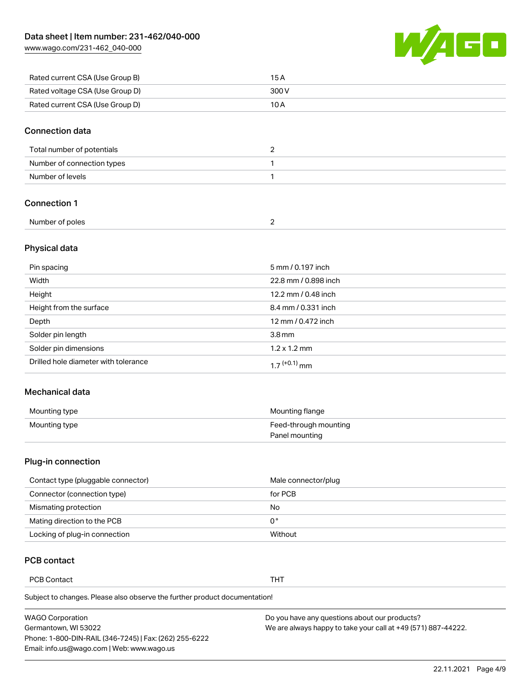[www.wago.com/231-462\\_040-000](http://www.wago.com/231-462_040-000)



| Rated current CSA (Use Group B) | 15 A  |
|---------------------------------|-------|
| Rated voltage CSA (Use Group D) | 300 V |
| Rated current CSA (Use Group D) | 10 A  |

#### Connection data

| Total number of potentials |  |
|----------------------------|--|
| Number of connection types |  |
| Number of levels           |  |

### Connection 1

| Number of poles |  |
|-----------------|--|
|                 |  |

#### Physical data

| Pin spacing                          | 5 mm / 0.197 inch    |
|--------------------------------------|----------------------|
| Width                                | 22.8 mm / 0.898 inch |
| Height                               | 12.2 mm / 0.48 inch  |
| Height from the surface              | 8.4 mm / 0.331 inch  |
| Depth                                | 12 mm / 0.472 inch   |
| Solder pin length                    | 3.8 <sub>mm</sub>    |
| Solder pin dimensions                | $1.2 \times 1.2$ mm  |
| Drilled hole diameter with tolerance | $17^{(+0.1)}$ mm     |

#### Mechanical data

| Mounting type | Mounting flange       |
|---------------|-----------------------|
| Mounting type | Feed-through mounting |
|               | Panel mounting        |

#### Plug-in connection

| Contact type (pluggable connector) | Male connector/plug |
|------------------------------------|---------------------|
| Connector (connection type)        | for PCB             |
| Mismating protection               | No                  |
| Mating direction to the PCB        | 0°                  |
| Locking of plug-in connection      | Without             |

### PCB contact

PCB Contact THT

Subject to changes. Please also observe the further product documentation!

| <b>WAGO Corporation</b>                                | Do you have any questions about our products?                 |
|--------------------------------------------------------|---------------------------------------------------------------|
| Germantown, WI 53022                                   | We are always happy to take your call at +49 (571) 887-44222. |
| Phone: 1-800-DIN-RAIL (346-7245)   Fax: (262) 255-6222 |                                                               |
| Email: info.us@wago.com   Web: www.wago.us             |                                                               |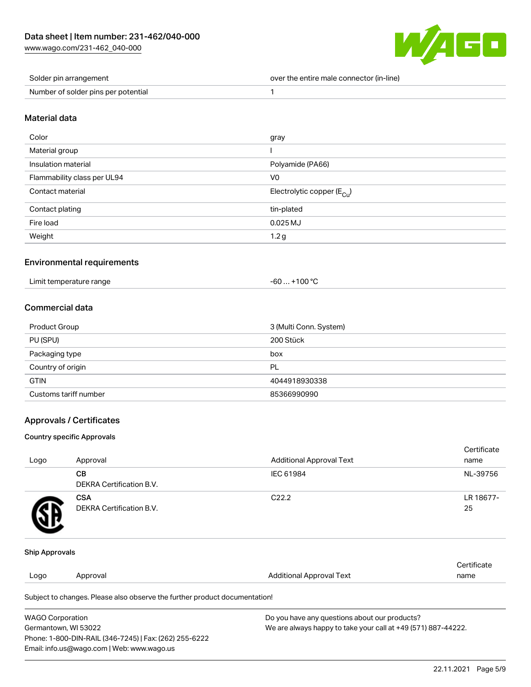[www.wago.com/231-462\\_040-000](http://www.wago.com/231-462_040-000)



| Solder pin arrangement              | over the entire male connector (in-line) |
|-------------------------------------|------------------------------------------|
| Number of solder pins per potential |                                          |

#### Material data

| Color                       | gray                                    |
|-----------------------------|-----------------------------------------|
| Material group              |                                         |
| Insulation material         | Polyamide (PA66)                        |
| Flammability class per UL94 | V <sub>0</sub>                          |
| Contact material            | Electrolytic copper ( $E_{\text{Cu}}$ ) |
| Contact plating             | tin-plated                              |
| Fire load                   | $0.025$ MJ                              |
| Weight                      | 1.2 <sub>g</sub>                        |

### Environmental requirements

| Limit temperature range<br>+100 $^{\circ}$ C<br>-60…、 |  |
|-------------------------------------------------------|--|
|-------------------------------------------------------|--|

### Commercial data

| <b>Product Group</b>  | 3 (Multi Conn. System) |
|-----------------------|------------------------|
| PU (SPU)              | 200 Stück              |
| Packaging type        | box                    |
| Country of origin     | PL                     |
| <b>GTIN</b>           | 4044918930338          |
| Customs tariff number | 85366990990            |

#### Approvals / Certificates

#### Country specific Approvals

| Logo | Approval                               | <b>Additional Approval Text</b> | Certificate<br>name |
|------|----------------------------------------|---------------------------------|---------------------|
|      | CВ<br><b>DEKRA Certification B.V.</b>  | IEC 61984                       | NL-39756            |
|      | <b>CSA</b><br>DEKRA Certification B.V. | C <sub>22.2</sub>               | LR 18677-<br>25     |

#### Ship Approvals

| Logo | Approval                                                                   | Additional Approval Text | Certificate<br>name |
|------|----------------------------------------------------------------------------|--------------------------|---------------------|
|      | Subject to changes. Please also observe the further product documentation! |                          |                     |

| <b>WAGO Corporation</b>                                | Do you have any questions about our products?                 |
|--------------------------------------------------------|---------------------------------------------------------------|
| Germantown, WI 53022                                   | We are always happy to take your call at +49 (571) 887-44222. |
| Phone: 1-800-DIN-RAIL (346-7245)   Fax: (262) 255-6222 |                                                               |
| Email: info.us@wago.com   Web: www.wago.us             |                                                               |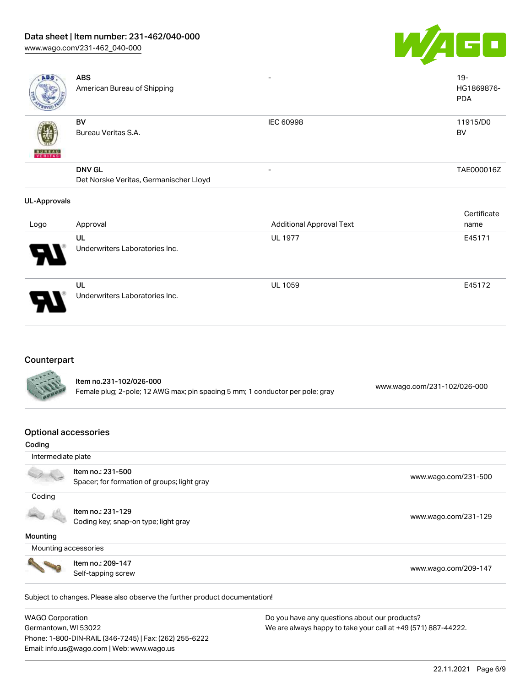### Data sheet | Item number: 231-462/040-000

[www.wago.com/231-462\\_040-000](http://www.wago.com/231-462_040-000)



| ABS                 | <b>ABS</b><br>American Bureau of Shipping |                          | $19 -$<br>HG1869876-<br><b>PDA</b> |
|---------------------|-------------------------------------------|--------------------------|------------------------------------|
| <b>BUREAU</b>       | BV<br>Bureau Veritas S.A.                 | <b>IEC 60998</b>         | 11915/D0<br>BV                     |
|                     | <b>DNV GL</b>                             | $\overline{\phantom{0}}$ | TAE000016Z                         |
|                     | Det Norske Veritas, Germanischer Lloyd    |                          |                                    |
| <b>UL-Approvals</b> |                                           |                          | Certificate                        |

|          |                                      |                                 | --------- |
|----------|--------------------------------------|---------------------------------|-----------|
| Logo     | Approval                             | <b>Additional Approval Text</b> | name      |
|          | UL                                   | <b>UL 1977</b>                  | E45171    |
| Ъ.<br>77 | Underwriters Laboratories Inc.       |                                 |           |
| 8        | UL<br>Underwriters Laboratories Inc. | <b>UL 1059</b>                  | E45172    |

### Counterpart

| <b>CALLES</b> | Item no.231-102/026-000<br>Female plug; 2-pole; 12 AWG max; pin spacing 5 mm; 1 conductor per pole; gray | www.wago.com/231-102/026-000 |
|---------------|----------------------------------------------------------------------------------------------------------|------------------------------|
|               |                                                                                                          |                              |

### Optional accessories

Phone: 1-800-DIN-RAIL (346-7245) | Fax: (262) 255-6222

Email: info.us@wago.com | Web: www.wago.us

| Coding                  |                                                                            |                                                               |
|-------------------------|----------------------------------------------------------------------------|---------------------------------------------------------------|
| Intermediate plate      |                                                                            |                                                               |
|                         | Item no.: 231-500                                                          |                                                               |
|                         | Spacer; for formation of groups; light gray                                | www.wago.com/231-500                                          |
| Coding                  |                                                                            |                                                               |
|                         | Item no.: 231-129                                                          |                                                               |
|                         | Coding key; snap-on type; light gray                                       | www.wago.com/231-129                                          |
| Mounting                |                                                                            |                                                               |
| Mounting accessories    |                                                                            |                                                               |
|                         | Item no.: 209-147                                                          |                                                               |
|                         | Self-tapping screw                                                         | www.wago.com/209-147                                          |
|                         |                                                                            |                                                               |
|                         | Subject to changes. Please also observe the further product documentation! |                                                               |
| <b>WAGO Corporation</b> |                                                                            | Do you have any questions about our products?                 |
| Germantown, WI 53022    |                                                                            | We are always happy to take your call at +49 (571) 887-44222. |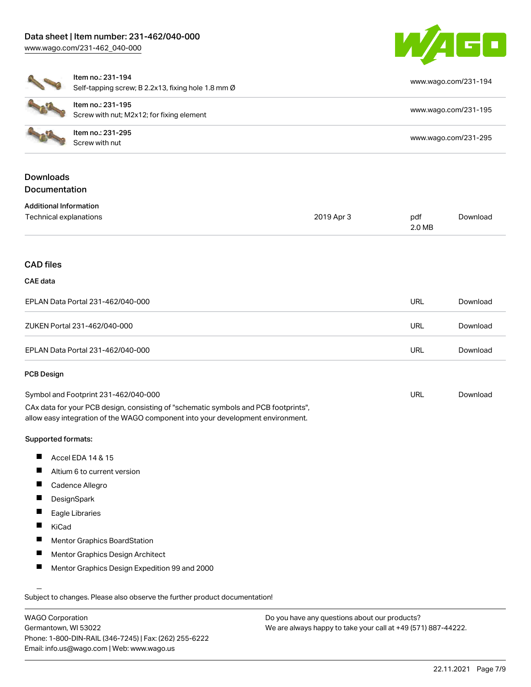### Data sheet | Item number: 231-462/040-000 [www.wago.com/231-462\\_040-000](http://www.wago.com/231-462_040-000)

Self-tapping screw; B 2.2x13, fixing hole 1.8 mm Ø

Item no.: 231-194



[www.wago.com/231-194](http://www.wago.com/231-194)

|                                   | Self-tapping screw; B 2.2x13, fixing hole 1.8 mm Ø                                                                                                                     |            |                      |          |
|-----------------------------------|------------------------------------------------------------------------------------------------------------------------------------------------------------------------|------------|----------------------|----------|
|                                   | Item no.: 231-195                                                                                                                                                      |            | www.wago.com/231-195 |          |
|                                   | Screw with nut; M2x12; for fixing element                                                                                                                              |            |                      |          |
|                                   | Item no.: 231-295<br>Screw with nut                                                                                                                                    |            | www.wago.com/231-295 |          |
| <b>Downloads</b>                  |                                                                                                                                                                        |            |                      |          |
| Documentation                     |                                                                                                                                                                        |            |                      |          |
| <b>Additional Information</b>     |                                                                                                                                                                        |            |                      |          |
| Technical explanations            |                                                                                                                                                                        | 2019 Apr 3 | pdf<br>2.0 MB        | Download |
| <b>CAD</b> files                  |                                                                                                                                                                        |            |                      |          |
| <b>CAE</b> data                   |                                                                                                                                                                        |            |                      |          |
| EPLAN Data Portal 231-462/040-000 |                                                                                                                                                                        |            | <b>URL</b>           | Download |
| ZUKEN Portal 231-462/040-000      |                                                                                                                                                                        |            | URL                  | Download |
|                                   | EPLAN Data Portal 231-462/040-000                                                                                                                                      |            | <b>URL</b>           | Download |
| <b>PCB Design</b>                 |                                                                                                                                                                        |            |                      |          |
|                                   | Symbol and Footprint 231-462/040-000                                                                                                                                   |            | <b>URL</b>           | Download |
|                                   | CAx data for your PCB design, consisting of "schematic symbols and PCB footprints",<br>allow easy integration of the WAGO component into your development environment. |            |                      |          |
| Supported formats:                |                                                                                                                                                                        |            |                      |          |
| ш                                 | Accel EDA 14 & 15                                                                                                                                                      |            |                      |          |
| ш                                 | Altium 6 to current version                                                                                                                                            |            |                      |          |
| ш                                 | Cadence Allegro                                                                                                                                                        |            |                      |          |
|                                   | DesignSpark                                                                                                                                                            |            |                      |          |
| ш                                 | Eagle Libraries                                                                                                                                                        |            |                      |          |
| L<br>KiCad                        |                                                                                                                                                                        |            |                      |          |
| п                                 | Mentor Graphics BoardStation                                                                                                                                           |            |                      |          |
| ш                                 | Mentor Graphics Design Architect                                                                                                                                       |            |                      |          |
| ш                                 | Mentor Graphics Design Expedition 99 and 2000                                                                                                                          |            |                      |          |
|                                   | Subject to changes. Please also observe the further product documentation!                                                                                             |            |                      |          |
| $\frac{111000}{2}$                |                                                                                                                                                                        |            |                      |          |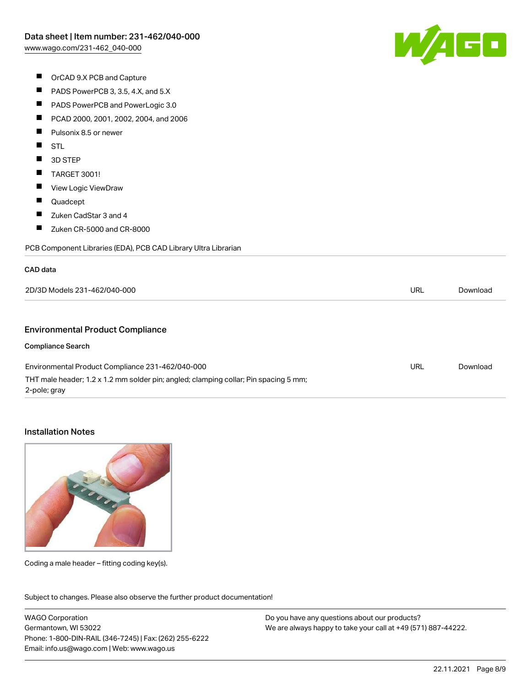

- OrCAD 9.X PCB and Capture
- $\blacksquare$ PADS PowerPCB 3, 3.5, 4.X, and 5.X
- $\blacksquare$ PADS PowerPCB and PowerLogic 3.0
- $\blacksquare$ PCAD 2000, 2001, 2002, 2004, and 2006
- $\blacksquare$ Pulsonix 8.5 or newer
- $\blacksquare$ STL
- $\blacksquare$ 3D STEP
- $\blacksquare$ TARGET 3001!
- $\blacksquare$ View Logic ViewDraw
- $\blacksquare$ Quadcept
- $\blacksquare$ Zuken CadStar 3 and 4
- $\blacksquare$ Zuken CR-5000 and CR-8000

PCB Component Libraries (EDA), PCB CAD Library Ultra Librarian

#### CAD data

| $.231 - 467$<br>-000<br>ּ הפ<br>nan s<br>) Models. |  | 'nıo |
|----------------------------------------------------|--|------|
|                                                    |  |      |

#### Environmental Product Compliance

#### Compliance Search

| Environmental Product Compliance 231-462/040-000                                                     | URL | Download |
|------------------------------------------------------------------------------------------------------|-----|----------|
| THT male header; 1.2 x 1.2 mm solder pin; angled; clamping collar; Pin spacing 5 mm;<br>2-pole; gray |     |          |
|                                                                                                      |     |          |

#### Installation Notes



Coding a male header – fitting coding key(s).

Subject to changes. Please also observe the further product documentation! Product family

WAGO Corporation Germantown, WI 53022 Phone: 1-800-DIN-RAIL (346-7245) | Fax: (262) 255-6222 Email: info.us@wago.com | Web: www.wago.us